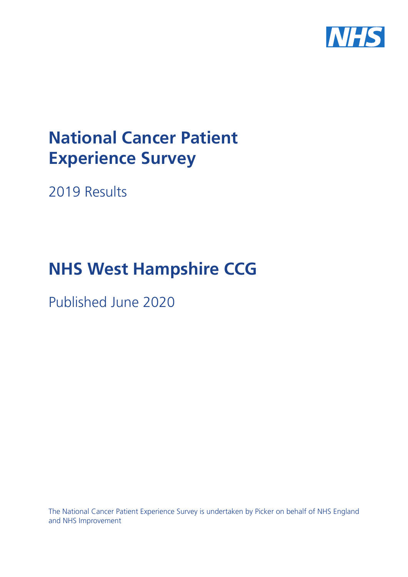

# **National Cancer Patient Experience Survey**

2019 Results

# **NHS West Hampshire CCG**

Published June 2020

The National Cancer Patient Experience Survey is undertaken by Picker on behalf of NHS England and NHS Improvement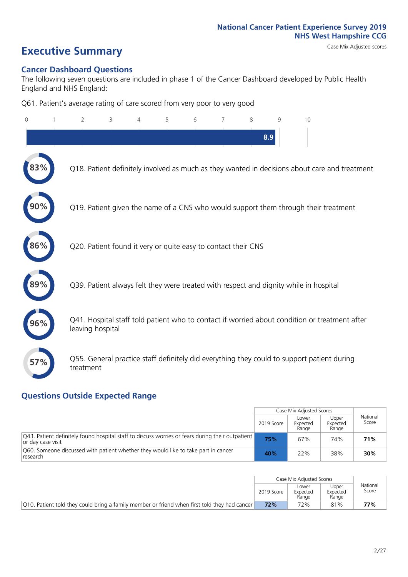# **Executive Summary** Case Mix Adjusted scores

#### **Cancer Dashboard Questions**

The following seven questions are included in phase 1 of the Cancer Dashboard developed by Public Health England and NHS England:

Q61. Patient's average rating of care scored from very poor to very good

| $\Omega$ | $\overline{2}$                                                | 3 | 4 | 5 | 6 | 7 | 8   | 9 | 10                                                                                            |
|----------|---------------------------------------------------------------|---|---|---|---|---|-----|---|-----------------------------------------------------------------------------------------------|
|          |                                                               |   |   |   |   |   | 8.9 |   |                                                                                               |
|          |                                                               |   |   |   |   |   |     |   | Q18. Patient definitely involved as much as they wanted in decisions about care and treatment |
|          |                                                               |   |   |   |   |   |     |   | Q19. Patient given the name of a CNS who would support them through their treatment           |
| 86%      | Q20. Patient found it very or quite easy to contact their CNS |   |   |   |   |   |     |   |                                                                                               |
|          |                                                               |   |   |   |   |   |     |   | Q39. Patient always felt they were treated with respect and dignity while in hospital         |
| 96%      | leaving hospital                                              |   |   |   |   |   |     |   | Q41. Hospital staff told patient who to contact if worried about condition or treatment after |
| 57%      | treatment                                                     |   |   |   |   |   |     |   | Q55. General practice staff definitely did everything they could to support patient during    |

### **Questions Outside Expected Range**

|                                                                                                                        |            | Case Mix Adjusted Scores   |                            |                   |
|------------------------------------------------------------------------------------------------------------------------|------------|----------------------------|----------------------------|-------------------|
|                                                                                                                        | 2019 Score | Lower<br>Expected<br>Range | Upper<br>Expected<br>Range | National<br>Score |
| [Q43. Patient definitely found hospital staff to discuss worries or fears during their outpatient<br>or day case visit | 75%        | 67%                        | 74%                        | 71%               |
| Q60. Someone discussed with patient whether they would like to take part in cancer<br>research                         | 40%        | 22%                        | 38%                        | 30%               |

|                                                                                               |            | Case Mix Adjusted Scores   |                            |                   |
|-----------------------------------------------------------------------------------------------|------------|----------------------------|----------------------------|-------------------|
|                                                                                               | 2019 Score | Lower<br>Expected<br>Range | Upper<br>Expected<br>Range | National<br>Score |
| [Q10. Patient told they could bring a family member or friend when first told they had cancer | 72%        | 72%                        | 81%                        | 77%               |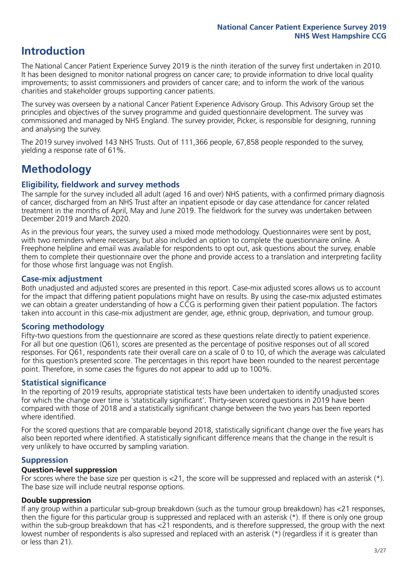## **Introduction**

The National Cancer Patient Experience Survey 2019 is the ninth iteration of the survey first undertaken in 2010. It has been designed to monitor national progress on cancer care; to provide information to drive local quality improvements; to assist commissioners and providers of cancer care; and to inform the work of the various charities and stakeholder groups supporting cancer patients.

The survey was overseen by a national Cancer Patient Experience Advisory Group. This Advisory Group set the principles and objectives of the survey programme and guided questionnaire development. The survey was commissioned and managed by NHS England. The survey provider, Picker, is responsible for designing, running and analysing the survey.

The 2019 survey involved 143 NHS Trusts. Out of 111,366 people, 67,858 people responded to the survey, yielding a response rate of 61%.

# **Methodology**

#### **Eligibility, eldwork and survey methods**

The sample for the survey included all adult (aged 16 and over) NHS patients, with a confirmed primary diagnosis of cancer, discharged from an NHS Trust after an inpatient episode or day case attendance for cancer related treatment in the months of April, May and June 2019. The fieldwork for the survey was undertaken between December 2019 and March 2020.

As in the previous four years, the survey used a mixed mode methodology. Questionnaires were sent by post, with two reminders where necessary, but also included an option to complete the questionnaire online. A Freephone helpline and email was available for respondents to opt out, ask questions about the survey, enable them to complete their questionnaire over the phone and provide access to a translation and interpreting facility for those whose first language was not English.

#### **Case-mix adjustment**

Both unadjusted and adjusted scores are presented in this report. Case-mix adjusted scores allows us to account for the impact that differing patient populations might have on results. By using the case-mix adjusted estimates we can obtain a greater understanding of how a CCG is performing given their patient population. The factors taken into account in this case-mix adjustment are gender, age, ethnic group, deprivation, and tumour group.

#### **Scoring methodology**

Fifty-two questions from the questionnaire are scored as these questions relate directly to patient experience. For all but one question (Q61), scores are presented as the percentage of positive responses out of all scored responses. For Q61, respondents rate their overall care on a scale of 0 to 10, of which the average was calculated for this question's presented score. The percentages in this report have been rounded to the nearest percentage point. Therefore, in some cases the figures do not appear to add up to 100%.

#### **Statistical significance**

In the reporting of 2019 results, appropriate statistical tests have been undertaken to identify unadjusted scores for which the change over time is 'statistically significant'. Thirty-seven scored questions in 2019 have been compared with those of 2018 and a statistically significant change between the two years has been reported where identified.

For the scored questions that are comparable beyond 2018, statistically significant change over the five years has also been reported where identified. A statistically significant difference means that the change in the result is very unlikely to have occurred by sampling variation.

#### **Suppression**

#### **Question-level suppression**

For scores where the base size per question is  $<$ 21, the score will be suppressed and replaced with an asterisk (\*). The base size will include neutral response options.

#### **Double suppression**

If any group within a particular sub-group breakdown (such as the tumour group breakdown) has <21 responses, then the figure for this particular group is suppressed and replaced with an asterisk (\*). If there is only one group within the sub-group breakdown that has <21 respondents, and is therefore suppressed, the group with the next lowest number of respondents is also supressed and replaced with an asterisk (\*) (regardless if it is greater than or less than 21).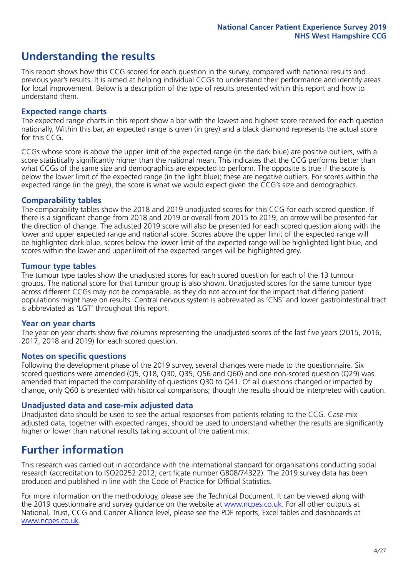# **Understanding the results**

This report shows how this CCG scored for each question in the survey, compared with national results and previous year's results. It is aimed at helping individual CCGs to understand their performance and identify areas for local improvement. Below is a description of the type of results presented within this report and how to understand them.

#### **Expected range charts**

The expected range charts in this report show a bar with the lowest and highest score received for each question nationally. Within this bar, an expected range is given (in grey) and a black diamond represents the actual score for this CCG.

CCGs whose score is above the upper limit of the expected range (in the dark blue) are positive outliers, with a score statistically significantly higher than the national mean. This indicates that the CCG performs better than what CCGs of the same size and demographics are expected to perform. The opposite is true if the score is below the lower limit of the expected range (in the light blue); these are negative outliers. For scores within the expected range (in the grey), the score is what we would expect given the CCG's size and demographics.

#### **Comparability tables**

The comparability tables show the 2018 and 2019 unadjusted scores for this CCG for each scored question. If there is a significant change from 2018 and 2019 or overall from 2015 to 2019, an arrow will be presented for the direction of change. The adjusted 2019 score will also be presented for each scored question along with the lower and upper expected range and national score. Scores above the upper limit of the expected range will be highlighted dark blue, scores below the lower limit of the expected range will be highlighted light blue, and scores within the lower and upper limit of the expected ranges will be highlighted grey.

#### **Tumour type tables**

The tumour type tables show the unadjusted scores for each scored question for each of the 13 tumour groups. The national score for that tumour group is also shown. Unadjusted scores for the same tumour type across different CCGs may not be comparable, as they do not account for the impact that differing patient populations might have on results. Central nervous system is abbreviated as 'CNS' and lower gastrointestinal tract is abbreviated as 'LGT' throughout this report.

#### **Year on year charts**

The year on year charts show five columns representing the unadjusted scores of the last five years (2015, 2016, 2017, 2018 and 2019) for each scored question.

#### **Notes on specific questions**

Following the development phase of the 2019 survey, several changes were made to the questionnaire. Six scored questions were amended (Q5, Q18, Q30, Q35, Q56 and Q60) and one non-scored question (Q29) was amended that impacted the comparability of questions Q30 to Q41. Of all questions changed or impacted by change, only Q60 is presented with historical comparisons; though the results should be interpreted with caution.

#### **Unadjusted data and case-mix adjusted data**

Unadjusted data should be used to see the actual responses from patients relating to the CCG. Case-mix adjusted data, together with expected ranges, should be used to understand whether the results are significantly higher or lower than national results taking account of the patient mix.

### **Further information**

This research was carried out in accordance with the international standard for organisations conducting social research (accreditation to ISO20252:2012; certificate number GB08/74322). The 2019 survey data has been produced and published in line with the Code of Practice for Official Statistics.

For more information on the methodology, please see the Technical Document. It can be viewed along with the 2019 questionnaire and survey quidance on the website at [www.ncpes.co.uk](https://www.ncpes.co.uk/supporting-documents). For all other outputs at National, Trust, CCG and Cancer Alliance level, please see the PDF reports, Excel tables and dashboards at [www.ncpes.co.uk.](https://www.ncpes.co.uk/current-results)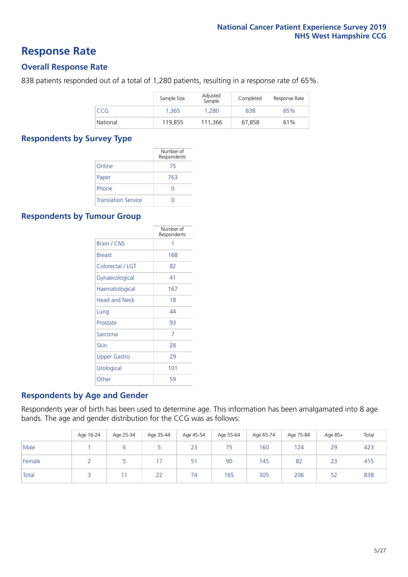### **Response Rate**

#### **Overall Response Rate**

838 patients responded out of a total of 1,280 patients, resulting in a response rate of 65%.

|          | Sample Size | Adjusted<br>Sample | Completed | Response Rate |
|----------|-------------|--------------------|-----------|---------------|
| CCG      | 1.365       | 1.280              | 838       | 65%           |
| National | 119,855     | 111.366            | 67.858    | 61%           |

#### **Respondents by Survey Type**

|                            | Number of<br>Respondents |
|----------------------------|--------------------------|
| Online                     | 75                       |
| Paper                      | 763                      |
| Phone                      | Ω                        |
| <b>Translation Service</b> |                          |

#### **Respondents by Tumour Group**

|                      | Number of<br>Respondents |
|----------------------|--------------------------|
| <b>Brain / CNS</b>   | 1                        |
| <b>Breast</b>        | 168                      |
| Colorectal / LGT     | 82                       |
| Gynaecological       | 41                       |
| Haematological       | 167                      |
| <b>Head and Neck</b> | 18                       |
| Lung                 | 44                       |
| Prostate             | 93                       |
| Sarcoma              | 7                        |
| Skin                 | 28                       |
| Upper Gastro         | 29                       |
| Urological           | 101                      |
| Other                | 59                       |

#### **Respondents by Age and Gender**

Respondents year of birth has been used to determine age. This information has been amalgamated into 8 age bands. The age and gender distribution for the CCG was as follows:

|        | Age 16-24 | Age 25-34 | Age 35-44 | Age 45-54 | Age 55-64 | Age 65-74 | Age 75-84 | Age 85+ | Total |
|--------|-----------|-----------|-----------|-----------|-----------|-----------|-----------|---------|-------|
| Male   |           |           |           | 23        | 75        | 160       | 124       | 29      | 423   |
| Female |           |           |           | 51        | 90        | 145       | 82        | 23      | 415   |
| Total  |           |           | 22        | 74        | 165       | 305       | 206       | 52      | 838   |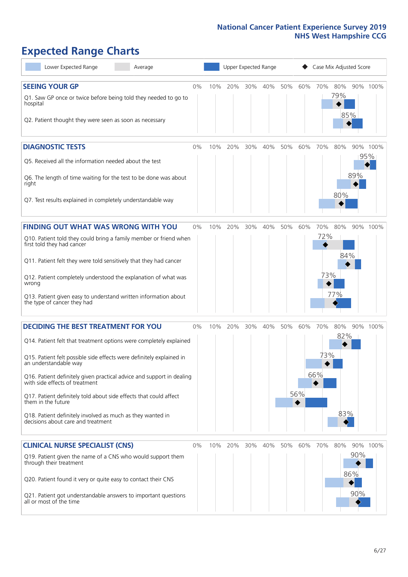# **Expected Range Charts**

| Lower Expected Range<br>Average                                                                                                                                                                                                                                                                                                                                                                                                                                                                                             |       |     |     | Upper Expected Range |     |     |                 | Case Mix Adjusted Score |                   |                   |                 |
|-----------------------------------------------------------------------------------------------------------------------------------------------------------------------------------------------------------------------------------------------------------------------------------------------------------------------------------------------------------------------------------------------------------------------------------------------------------------------------------------------------------------------------|-------|-----|-----|----------------------|-----|-----|-----------------|-------------------------|-------------------|-------------------|-----------------|
| <b>SEEING YOUR GP</b><br>Q1. Saw GP once or twice before being told they needed to go to<br>hospital<br>Q2. Patient thought they were seen as soon as necessary                                                                                                                                                                                                                                                                                                                                                             | 0%    | 10% | 20% | 30%                  | 40% | 50% | 60%             | 70%                     | 80%<br>79%        | 85%               | 90% 100%        |
| <b>DIAGNOSTIC TESTS</b><br>Q5. Received all the information needed about the test<br>Q6. The length of time waiting for the test to be done was about<br>right<br>Q7. Test results explained in completely understandable way                                                                                                                                                                                                                                                                                               | 0%    | 10% | 20% | 30%                  | 40% | 50% | 60%             | 70%                     | 80%<br>80%        | 89%               | 90% 100%<br>95% |
| <b>FINDING OUT WHAT WAS WRONG WITH YOU</b><br>Q10. Patient told they could bring a family member or friend when<br>first told they had cancer<br>Q11. Patient felt they were told sensitively that they had cancer<br>Q12. Patient completely understood the explanation of what was<br>wrong<br>Q13. Patient given easy to understand written information about<br>the type of cancer they had                                                                                                                             | $0\%$ | 10% | 20% | 30%                  | 40% | 50% | 60%             | 70%<br>72%<br>73%       | 80%<br>84%<br>77% |                   | 90% 100%        |
| <b>DECIDING THE BEST TREATMENT FOR YOU</b><br>Q14. Patient felt that treatment options were completely explained<br>Q15. Patient felt possible side effects were definitely explained in<br>an understandable way<br>Q16. Patient definitely given practical advice and support in dealing<br>with side effects of treatment<br>Q17. Patient definitely told about side effects that could affect<br>them in the future<br>Q18. Patient definitely involved as much as they wanted in<br>decisions about care and treatment | 0%    | 10% | 20% | 30%                  | 40% | 50% | 60%<br>56%<br>♦ | 70%<br>73%<br>66%       | 80%<br>82%<br>83% |                   | 90% 100%        |
| <b>CLINICAL NURSE SPECIALIST (CNS)</b><br>Q19. Patient given the name of a CNS who would support them<br>through their treatment<br>Q20. Patient found it very or quite easy to contact their CNS<br>Q21. Patient got understandable answers to important questions<br>all or most of the time                                                                                                                                                                                                                              | 0%    | 10% | 20% | 30%                  | 40% | 50% | 60%             | 70%                     | 80%               | 90%<br>86%<br>90% | 90% 100%        |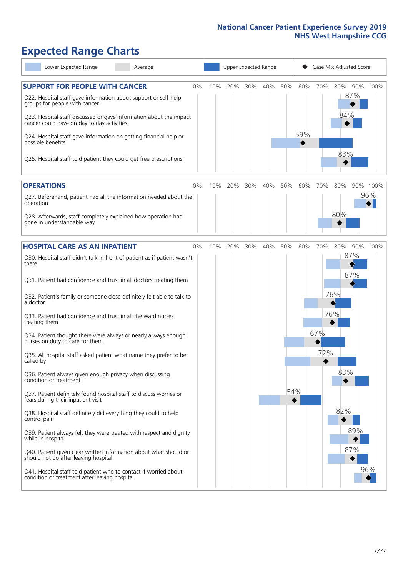# **Expected Range Charts**

| Lower Expected Range<br>Average                                                                                                                                                                                                                               |    |     |     |     | Upper Expected Range |     |     |     | Case Mix Adjusted Score |          |
|---------------------------------------------------------------------------------------------------------------------------------------------------------------------------------------------------------------------------------------------------------------|----|-----|-----|-----|----------------------|-----|-----|-----|-------------------------|----------|
| <b>SUPPORT FOR PEOPLE WITH CANCER</b><br>Q22. Hospital staff gave information about support or self-help<br>groups for people with cancer<br>Q23. Hospital staff discussed or gave information about the impact<br>cancer could have on day to day activities | 0% | 10% | 20% | 30% | 40%                  | 50% | 60% | 70% | 80%<br>87%<br>84%       | 90% 100% |
| Q24. Hospital staff gave information on getting financial help or<br>possible benefits<br>Q25. Hospital staff told patient they could get free prescriptions                                                                                                  |    |     |     |     |                      |     | 59% |     | 83%                     |          |
| <b>OPERATIONS</b>                                                                                                                                                                                                                                             | 0% | 10% | 20% | 30% | 40%                  | 50% | 60% | 70% | 80%                     | 90% 100% |
| Q27. Beforehand, patient had all the information needed about the<br>operation<br>Q28. Afterwards, staff completely explained how operation had<br>gone in understandable way                                                                                 |    |     |     |     |                      |     |     |     | 80%                     | 96%      |
|                                                                                                                                                                                                                                                               |    |     |     |     |                      |     |     |     |                         |          |
| <b>HOSPITAL CARE AS AN INPATIENT</b>                                                                                                                                                                                                                          | 0% | 10% | 20% | 30% | 40%                  | 50% | 60% | 70% | 80%                     | 90% 100% |
| Q30. Hospital staff didn't talk in front of patient as if patient wasn't<br>there<br>Q31. Patient had confidence and trust in all doctors treating them                                                                                                       |    |     |     |     |                      |     |     |     | 87%<br>87%              |          |
| Q32. Patient's family or someone close definitely felt able to talk to<br>a doctor                                                                                                                                                                            |    |     |     |     |                      |     |     |     | 76%                     |          |
| Q33. Patient had confidence and trust in all the ward nurses<br>treating them                                                                                                                                                                                 |    |     |     |     |                      |     |     |     | 76%                     |          |
| Q34. Patient thought there were always or nearly always enough<br>nurses on duty to care for them                                                                                                                                                             |    |     |     |     |                      |     |     | 67% |                         |          |
| Q35. All hospital staff asked patient what name they prefer to be<br>called by                                                                                                                                                                                |    |     |     |     |                      |     |     | 72% |                         |          |
| Q36. Patient always given enough privacy when discussing<br>condition or treatment                                                                                                                                                                            |    |     |     |     |                      |     |     |     | 83%                     |          |
| Q37. Patient definitely found hospital staff to discuss worries or<br>fears during their inpatient visit                                                                                                                                                      |    |     |     |     |                      | 54% |     |     |                         |          |
| Q38. Hospital staff definitely did everything they could to help<br>control pain                                                                                                                                                                              |    |     |     |     |                      |     |     |     | 82%                     |          |
| Q39. Patient always felt they were treated with respect and dignity<br>while in hospital                                                                                                                                                                      |    |     |     |     |                      |     |     |     | 89%                     |          |
| Q40. Patient given clear written information about what should or<br>should not do after leaving hospital                                                                                                                                                     |    |     |     |     |                      |     |     |     | 87%                     |          |
| Q41. Hospital staff told patient who to contact if worried about<br>condition or treatment after leaving hospital                                                                                                                                             |    |     |     |     |                      |     |     |     |                         | 96%      |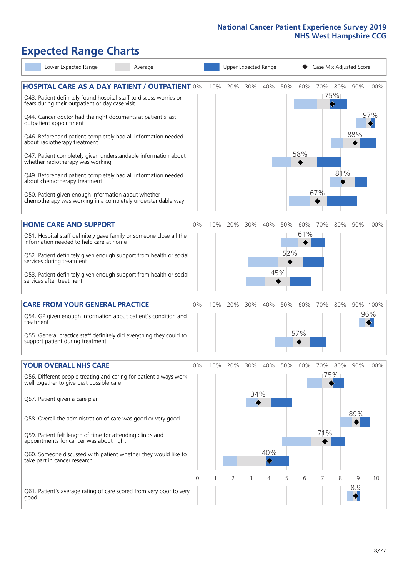# **Expected Range Charts**

| Lower Expected Range<br>Average                                                                                                           |       |     |     |     | Upper Expected Range |     | Case Mix Adjusted Score |     |                 |     |          |  |
|-------------------------------------------------------------------------------------------------------------------------------------------|-------|-----|-----|-----|----------------------|-----|-------------------------|-----|-----------------|-----|----------|--|
| <b>HOSPITAL CARE AS A DAY PATIENT / OUTPATIENT 0%</b><br>Q43. Patient definitely found hospital staff to discuss worries or               |       | 10% | 20% | 30% | 40%                  | 50% | 60%                     |     | 70% 80%<br>75%  |     | 90% 100% |  |
| fears during their outpatient or day case visit<br>Q44. Cancer doctor had the right documents at patient's last<br>outpatient appointment |       |     |     |     |                      |     |                         |     | $\blacklozenge$ |     | 97%      |  |
| Q46. Beforehand patient completely had all information needed<br>about radiotherapy treatment                                             |       |     |     |     |                      |     |                         |     |                 | 88% |          |  |
| Q47. Patient completely given understandable information about<br>whether radiotherapy was working                                        |       |     |     |     |                      |     | 58%                     |     |                 |     |          |  |
| Q49. Beforehand patient completely had all information needed<br>about chemotherapy treatment                                             |       |     |     |     |                      |     |                         |     | 81%             |     |          |  |
| Q50. Patient given enough information about whether<br>chemotherapy was working in a completely understandable way                        |       |     |     |     |                      |     |                         | 67% |                 |     |          |  |
| <b>HOME CARE AND SUPPORT</b>                                                                                                              | 0%    | 10% | 20% | 30% | 40%                  | 50% | 60%                     | 70% | 80%             |     | 90% 100% |  |
| Q51. Hospital staff definitely gave family or someone close all the<br>information needed to help care at home                            |       |     |     |     |                      |     | 61%                     |     |                 |     |          |  |
| Q52. Patient definitely given enough support from health or social<br>services during treatment                                           |       |     |     |     |                      | 52% |                         |     |                 |     |          |  |
| Q53. Patient definitely given enough support from health or social<br>services after treatment                                            |       |     |     |     |                      | 45% |                         |     |                 |     |          |  |
| <b>CARE FROM YOUR GENERAL PRACTICE</b>                                                                                                    | 0%    | 10% | 20% | 30% | 40%                  | 50% | 60%                     | 70% | 80%             |     | 90% 100% |  |
| Q54. GP given enough information about patient's condition and<br>treatment                                                               |       |     |     |     |                      |     |                         |     |                 |     | 96%      |  |
| Q55. General practice staff definitely did everything they could to<br>support patient during treatment                                   |       |     |     |     |                      |     | 57%                     |     |                 |     |          |  |
| <b>YOUR OVERALL NHS CARE</b>                                                                                                              | $0\%$ | 10% | 20% | 30% | 40%                  | 50% | 60%                     | 70% | 80%             |     | 90% 100% |  |
| Q56. Different people treating and caring for patient always work<br>well together to give best possible care                             |       |     |     |     |                      |     |                         |     | 75%             |     |          |  |
| Q57. Patient given a care plan                                                                                                            |       |     |     | 34% |                      |     |                         |     |                 |     |          |  |
| Q58. Overall the administration of care was good or very good                                                                             |       |     |     |     |                      |     |                         |     |                 | 89% |          |  |
| Q59. Patient felt length of time for attending clinics and<br>appointments for cancer was about right                                     |       |     |     |     |                      |     |                         | 71% |                 |     |          |  |
| Q60. Someone discussed with patient whether they would like to<br>take part in cancer research                                            |       |     |     |     | 40%<br>♦             |     |                         |     |                 |     |          |  |
|                                                                                                                                           | 0     |     | 2   | 3   | 4                    | 5   | 6                       | 7   | 8               | 9   | 10       |  |
| Q61. Patient's average rating of care scored from very poor to very<br>good                                                               |       |     |     |     |                      |     |                         |     |                 | 8.9 |          |  |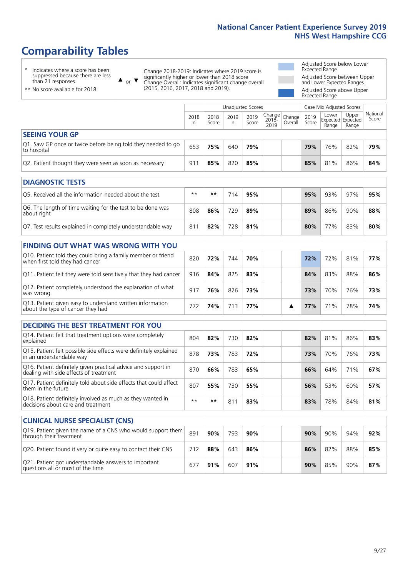# **Comparability Tables**

\* Indicates where a score has been suppressed because there are less than 21 responses.

\*\* No score available for 2018.

 $\triangle$  or  $\nabla$ 

Change 2018-2019: Indicates where 2019 score is significantly higher or lower than 2018 score Change Overall: Indicates significant change overall (2015, 2016, 2017, 2018 and 2019).

Adjusted Score below Lower Expected Range Adjusted Score between Upper and Lower Expected Ranges Adjusted Score above Upper Expected Range

|                                                                             |           |               | Unadjusted Scores |               |                                                    |         |               | Case Mix Adjusted Scores                   |                |                   |
|-----------------------------------------------------------------------------|-----------|---------------|-------------------|---------------|----------------------------------------------------|---------|---------------|--------------------------------------------|----------------|-------------------|
|                                                                             | 2018<br>n | 2018<br>Score | 2019<br>n         | 2019<br>Score | $\sqrt{(\text{Change})^2}$ Change<br>2018-<br>2019 | Overall | 2019<br>Score | Lower<br><b>Expected Expected</b><br>Range | Upper<br>Range | National<br>Score |
| <b>SEEING YOUR GP</b>                                                       |           |               |                   |               |                                                    |         |               |                                            |                |                   |
| Q1. Saw GP once or twice before being told they needed to go<br>to hospital | 653       | 75%           | 640               | 79%           |                                                    |         | 79%           | 76%                                        | 82%            | 79%               |
| Q2. Patient thought they were seen as soon as necessary                     | 911       | 85%           | 820               | 85%           |                                                    |         | 85%           | 81%                                        | 86%            | 84%               |
| <b>DIAGNOSTIC TESTS</b>                                                     |           |               |                   |               |                                                    |         |               |                                            |                |                   |

| O5. Received all the information needed about the test                    | $**$ | **  |     | 95% | 95% | 93% | 97% | 95% |
|---------------------------------------------------------------------------|------|-----|-----|-----|-----|-----|-----|-----|
| Q6. The length of time waiting for the test to be done was<br>about right | 808  | 86% | 729 | 89% | 89% | 86% | 90% | 88% |
| Q7. Test results explained in completely understandable way               | 81   | 82% | 728 | 81% | 80% | 77% | 83% | 80% |

| <b>FINDING OUT WHAT WAS WRONG WITH YOU</b>                                                      |     |     |     |     |  |     |     |     |     |
|-------------------------------------------------------------------------------------------------|-----|-----|-----|-----|--|-----|-----|-----|-----|
| Q10. Patient told they could bring a family member or friend<br>when first told they had cancer | 820 | 72% | 744 | 70% |  | 72% | 72% | 81% | 77% |
| Q11. Patient felt they were told sensitively that they had cancer                               | 916 | 84% | 825 | 83% |  | 84% | 83% | 88% | 86% |
| Q12. Patient completely understood the explanation of what<br>was wrong                         | 917 | 76% | 826 | 73% |  | 73% | 70% | 76% | 73% |
| Q13. Patient given easy to understand written information<br>about the type of cancer they had  | 772 | 74% | 713 | 77% |  | 77% | 71% | 78% | 74% |

| <b>DECIDING THE BEST TREATMENT FOR YOU</b>                                                              |      |     |     |     |  |     |     |     |     |
|---------------------------------------------------------------------------------------------------------|------|-----|-----|-----|--|-----|-----|-----|-----|
| Q14. Patient felt that treatment options were completely<br>explained                                   | 804  | 82% | 730 | 82% |  | 82% | 81% | 86% | 83% |
| Q15. Patient felt possible side effects were definitely explained<br>in an understandable way           | 878  | 73% | 783 | 72% |  | 73% | 70% | 76% | 73% |
| Q16. Patient definitely given practical advice and support in<br>dealing with side effects of treatment | 870  | 66% | 783 | 65% |  | 66% | 64% | 71% | 67% |
| Q17. Patient definitely told about side effects that could affect<br>them in the future                 | 807  | 55% | 730 | 55% |  | 56% | 53% | 60% | 57% |
| Q18. Patient definitely involved as much as they wanted in<br>decisions about care and treatment        | $**$ | **  | 81  | 83% |  | 83% | 78% | 84% | 81% |

| <b>CLINICAL NURSE SPECIALIST (CNS)</b>                                                    |     |     |     |     |  |     |     |     |     |
|-------------------------------------------------------------------------------------------|-----|-----|-----|-----|--|-----|-----|-----|-----|
| Q19. Patient given the name of a CNS who would support them<br>through their treatment    | 891 | 90% | 793 | 90% |  | 90% | 90% | 94% | 92% |
| Q20. Patient found it very or quite easy to contact their CNS                             | 712 | 88% | 643 | 86% |  | 86% | 82% | 88% | 85% |
| Q21. Patient got understandable answers to important<br>questions all or most of the time | 677 | 91% | 607 | 91% |  | 90% | 85% | 90% | 87% |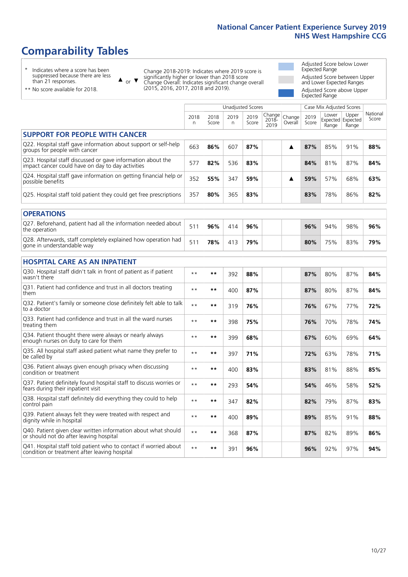# **Comparability Tables**

\* Indicates where a score has been suppressed because there are less than 21 responses.

\*\* No score available for 2018.

 $\triangle$  or  $\nabla$ 

Change 2018-2019: Indicates where 2019 score is significantly higher or lower than 2018 score Change Overall: Indicates significant change overall (2015, 2016, 2017, 2018 and 2019).

Adjusted Score below Lower Expected Range Adjusted Score between Upper and Lower Expected Ranges Adjusted Score above Upper Expected Range

|                                                                                                                   |           |               |           | Unadjusted Scores |                         |                   |               | Case Mix Adjusted Scores            |                |                   |
|-------------------------------------------------------------------------------------------------------------------|-----------|---------------|-----------|-------------------|-------------------------|-------------------|---------------|-------------------------------------|----------------|-------------------|
|                                                                                                                   | 2018<br>n | 2018<br>Score | 2019<br>n | 2019<br>Score     | Change<br>2018-<br>2019 | Change<br>Overall | 2019<br>Score | Lower<br>Expected Expected<br>Range | Upper<br>Range | National<br>Score |
| <b>SUPPORT FOR PEOPLE WITH CANCER</b>                                                                             |           |               |           |                   |                         |                   |               |                                     |                |                   |
| Q22. Hospital staff gave information about support or self-help<br>groups for people with cancer                  | 663       | 86%           | 607       | 87%               |                         | ▲                 | 87%           | 85%                                 | 91%            | 88%               |
| Q23. Hospital staff discussed or gave information about the<br>impact cancer could have on day to day activities  | 577       | 82%           | 536       | 83%               |                         |                   | 84%           | 81%                                 | 87%            | 84%               |
| Q24. Hospital staff gave information on getting financial help or<br>possible benefits                            | 352       | 55%           | 347       | 59%               |                         | ▲                 | 59%           | 57%                                 | 68%            | 63%               |
| Q25. Hospital staff told patient they could get free prescriptions                                                | 357       | 80%           | 365       | 83%               |                         |                   | 83%           | 78%                                 | 86%            | 82%               |
| <b>OPERATIONS</b>                                                                                                 |           |               |           |                   |                         |                   |               |                                     |                |                   |
| Q27. Beforehand, patient had all the information needed about<br>the operation                                    | 511       | 96%           | 414       | 96%               |                         |                   | 96%           | 94%                                 | 98%            | 96%               |
| Q28. Afterwards, staff completely explained how operation had<br>gone in understandable way                       | 511       | 78%           | 413       | 79%               |                         |                   | 80%           | 75%                                 | 83%            | 79%               |
| <b>HOSPITAL CARE AS AN INPATIENT</b>                                                                              |           |               |           |                   |                         |                   |               |                                     |                |                   |
| Q30. Hospital staff didn't talk in front of patient as if patient<br>wasn't there                                 | $* *$     | $***$         | 392       | 88%               |                         |                   | 87%           | 80%                                 | 87%            | 84%               |
| Q31. Patient had confidence and trust in all doctors treating<br>them                                             | $* *$     | $***$         | 400       | 87%               |                         |                   | 87%           | 80%                                 | 87%            | 84%               |
| Q32. Patient's family or someone close definitely felt able to talk<br>to a doctor                                | $* *$     | $***$         | 319       | 76%               |                         |                   | 76%           | 67%                                 | 77%            | 72%               |
| Q33. Patient had confidence and trust in all the ward nurses<br>treating them                                     | $* *$     | $***$         | 398       | 75%               |                         |                   | 76%           | 70%                                 | 78%            | 74%               |
| Q34. Patient thought there were always or nearly always<br>enough nurses on duty to care for them                 | $* *$     | $**$          | 399       | 68%               |                         |                   | 67%           | 60%                                 | 69%            | 64%               |
| Q35. All hospital staff asked patient what name they prefer to<br>be called by                                    | $**$      | $***$         | 397       | 71%               |                         |                   | 72%           | 63%                                 | 78%            | 71%               |
| Q36. Patient always given enough privacy when discussing<br>condition or treatment                                | $* *$     | $**$          | 400       | 83%               |                         |                   | 83%           | 81%                                 | 88%            | 85%               |
| Q37. Patient definitely found hospital staff to discuss worries or<br>fears during their inpatient visit          | $* *$     | $***$         | 293       | 54%               |                         |                   | 54%           | 46%                                 | 58%            | 52%               |
| Q38. Hospital staff definitely did everything they could to help<br>control pain                                  | $* *$     | $***$         | 347       | 82%               |                         |                   | 82%           | 79%                                 | 87%            | 83%               |
| Q39. Patient always felt they were treated with respect and<br>dignity while in hospital                          | $* *$     | $***$         | 400       | 89%               |                         |                   | 89%           | 85%                                 | 91%            | 88%               |
| Q40. Patient given clear written information about what should<br>or should not do after leaving hospital         | $* *$     | $***$         | 368       | 87%               |                         |                   | 87%           | 82%                                 | 89%            | 86%               |
| Q41. Hospital staff told patient who to contact if worried about<br>condition or treatment after leaving hospital | $**$      | $***$         | 391       | 96%               |                         |                   | 96%           | 92%                                 | 97%            | 94%               |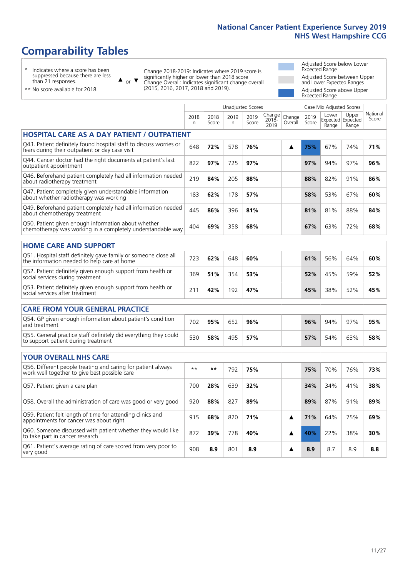# **Comparability Tables**

\* Indicates where a score has been suppressed because there are less than 21 responses.

 $\triangle$  or  $\nabla$ 

Change 2018-2019: Indicates where 2019 score is significantly higher or lower than 2018 score Change Overall: Indicates significant change overall (2015, 2016, 2017, 2018 and 2019).

 $\sqrt{ }$ 

Adjusted Score below Lower Expected Range Adjusted Score between Upper and Lower Expected Ranges Adjusted Score above Upper Expected Range

\*\* No score available for 2018.

|                                                                                                                       |              |               |           | <b>Unadjusted Scores</b> |                            |                   |               | Case Mix Adjusted Scores |                                     |                   |
|-----------------------------------------------------------------------------------------------------------------------|--------------|---------------|-----------|--------------------------|----------------------------|-------------------|---------------|--------------------------|-------------------------------------|-------------------|
|                                                                                                                       | 2018<br>n    | 2018<br>Score | 2019<br>n | 2019<br>Score            | Change<br>$2018 -$<br>2019 | Change<br>Overall | 2019<br>Score | Lower<br>Range           | Upper<br>Expected Expected<br>Range | National<br>Score |
| <b>HOSPITAL CARE AS A DAY PATIENT / OUTPATIENT</b>                                                                    |              |               |           |                          |                            |                   |               |                          |                                     |                   |
| Q43. Patient definitely found hospital staff to discuss worries or<br>fears during their outpatient or day case visit | 648          | 72%           | 578       | 76%                      |                            | ▲                 | 75%           | 67%                      | 74%                                 | 71%               |
| Q44. Cancer doctor had the right documents at patient's last<br>outpatient appointment                                | 822          | 97%           | 725       | 97%                      |                            |                   | 97%           | 94%                      | 97%                                 | 96%               |
| Q46. Beforehand patient completely had all information needed<br>about radiotherapy treatment                         | 219          | 84%           | 205       | 88%                      |                            |                   | 88%           | 82%                      | 91%                                 | 86%               |
| Q47. Patient completely given understandable information<br>about whether radiotherapy was working                    | 183          | 62%           | 178       | 57%                      |                            |                   | 58%           | 53%                      | 67%                                 | 60%               |
| Q49. Beforehand patient completely had all information needed<br>about chemotherapy treatment                         | 445          | 86%           | 396       | 81%                      |                            |                   | 81%           | 81%                      | 88%                                 | 84%               |
| Q50. Patient given enough information about whether<br>chemotherapy was working in a completely understandable way    | 404          | 69%           | 358       | 68%                      |                            |                   | 67%           | 63%                      | 72%                                 | 68%               |
| <b>HOME CARE AND SUPPORT</b>                                                                                          |              |               |           |                          |                            |                   |               |                          |                                     |                   |
| Q51. Hospital staff definitely gave family or someone close all<br>the information needed to help care at home        | 723          | 62%           | 648       | 60%                      |                            |                   | 61%           | 56%                      | 64%                                 | 60%               |
| Q52. Patient definitely given enough support from health or<br>social services during treatment                       | 369          | 51%           | 354       | 53%                      |                            |                   | 52%           | 45%                      | 59%                                 | 52%               |
| Q53. Patient definitely given enough support from health or<br>social services after treatment                        | 211          | 42%           | 192       | 47%                      |                            |                   | 45%           | 38%                      | 52%                                 | 45%               |
| <b>CARE FROM YOUR GENERAL PRACTICE</b>                                                                                |              |               |           |                          |                            |                   |               |                          |                                     |                   |
| Q54. GP given enough information about patient's condition<br>and treatment                                           | 702          | 95%           | 652       | 96%                      |                            |                   | 96%           | 94%                      | 97%                                 | 95%               |
| Q55. General practice staff definitely did everything they could<br>to support patient during treatment               | 530          | 58%           | 495       | 57%                      |                            |                   | 57%           | 54%                      | 63%                                 | 58%               |
| <b>YOUR OVERALL NHS CARE</b>                                                                                          |              |               |           |                          |                            |                   |               |                          |                                     |                   |
| Q56. Different people treating and caring for patient always<br>work well together to give best possible care         | $\star\star$ | $***$         | 792       | 75%                      |                            |                   | 75%           | 70%                      | 76%                                 | 73%               |
| Q57. Patient given a care plan                                                                                        | 700          | 28%           | 639       | 32%                      |                            |                   | 34%           | 34%                      | 41%                                 | 38%               |
| Q58. Overall the administration of care was good or very good                                                         | 920          | 88%           | 827       | 89%                      |                            |                   | 89%           | 87%                      | 91%                                 | 89%               |
| Q59. Patient felt length of time for attending clinics and<br>appointments for cancer was about right                 | 915          | 68%           | 820       | 71%                      |                            | ▲                 | 71%           | 64%                      | 75%                                 | 69%               |
| Q60. Someone discussed with patient whether they would like<br>to take part in cancer research                        | 872          | 39%           | 778       | 40%                      |                            | ▲                 | 40%           | 22%                      | 38%                                 | 30%               |
| Q61. Patient's average rating of care scored from very poor to<br>very good                                           | 908          | 8.9           | 801       | 8.9                      |                            | ▲                 | 8.9           | 8.7                      | 8.9                                 | 8.8               |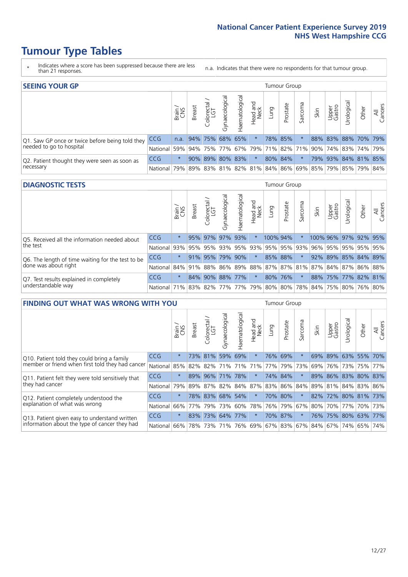- \* Indicates where a score has been suppressed because there are less than 21 responses.
- n.a. Indicates that there were no respondents for that tumour group.

| <b>SEEING YOUR GP</b>                           |                                                                  |         |                      |                   |                |                 |                  |      | Tumour Group |         |      |                 |                                                     |       |                |
|-------------------------------------------------|------------------------------------------------------------------|---------|----------------------|-------------------|----------------|-----------------|------------------|------|--------------|---------|------|-----------------|-----------------------------------------------------|-------|----------------|
|                                                 |                                                                  | Brain   | <b>Breast</b>        | Colorectal<br>LGT | Gynaecological | Haematological  | Head and<br>Neck | Dung | Prostate     | Sarcoma | Skin | Upper<br>Gastro | Urological                                          | Other | All<br>Cancers |
| Q1. Saw GP once or twice before being told they | <b>CCG</b>                                                       |         | n.a. 94% 75% 68% 65% |                   |                |                 | $\star$          |      | 78% 85%      |         |      |                 | 88% 83% 88% 70% 79%                                 |       |                |
| needed to go to hospital                        | National 59% 94% 75% 77% 67% 79% 71% 82% 71% 90% 74% 83% 74% 79% |         |                      |                   |                |                 |                  |      |              |         |      |                 |                                                     |       |                |
| Q2. Patient thought they were seen as soon as   | <b>CCG</b>                                                       | $\star$ |                      |                   |                | 90% 89% 80% 83% | $\ast$           |      | 80% 84%      | $\star$ |      |                 | 79% 93% 84% 81% 85%                                 |       |                |
| necessary                                       | National                                                         | 79%     |                      |                   |                |                 |                  |      |              |         |      |                 | 89% 83% 81% 82% 81% 84% 86% 69% 85% 79% 85% 79% 84% |       |                |

#### **DIAGNOSTIC TESTS** Tumour Group

|                                                   |                                                                  | Brain   | <b>Breast</b> | olorectal<br>LGT<br>Ü | Gynaecological | Haematological | Head and<br>Neck | Lung                | Prostate | Sarcoma | Skin | Upper<br>Gastro | Irological           | Other | All<br>Cancers |
|---------------------------------------------------|------------------------------------------------------------------|---------|---------------|-----------------------|----------------|----------------|------------------|---------------------|----------|---------|------|-----------------|----------------------|-------|----------------|
| Q5. Received all the information needed about     | <b>CCG</b>                                                       | $\star$ |               | 95% 97%               | 97%            | 93%            | $\star$          | 100% 94%            |          |         |      |                 | 100% 96% 97% 92% 95% |       |                |
| the test                                          | National                                                         | 93%     | 95%           | 95%                   | 93%            |                |                  | 95% 93% 95% 95% 93% |          |         | 96%  | 95%             | 95% 95% 95%          |       |                |
| Q6. The length of time waiting for the test to be | <b>CCG</b>                                                       | $\star$ |               | 91% 95%               | 79%            | 90%            | $\star$          |                     | 85% 88%  |         | 92%  |                 | 89% 85% 84% 89%      |       |                |
| done was about right                              | National 84% 91% 88% 86% 89% 88% 87% 87% 81% 87% 84% 87% 86% 88% |         |               |                       |                |                |                  |                     |          |         |      |                 |                      |       |                |
| Q7. Test results explained in completely          | <b>CCG</b>                                                       | $\star$ | 84%           | $ 90\%$               |                | 88% 77%        | $\star$          | 80% 76%             |          | $\star$ |      |                 | 88% 75% 77% 82% 81%  |       |                |
| understandable way                                | National 71% 83% 82% 77% 77% 79% 80% 80% 78% 84% 75% 80% 76% 80% |         |               |                       |                |                |                  |                     |          |         |      |                 |                      |       |                |

| <b>FINDING OUT WHAT WAS WRONG WITH YOU</b>        |            |         |               |                                 |                         |                |                        |                                   | <b>Tumour Group</b> |         |      |                 |                     |         |                |
|---------------------------------------------------|------------|---------|---------------|---------------------------------|-------------------------|----------------|------------------------|-----------------------------------|---------------------|---------|------|-----------------|---------------------|---------|----------------|
|                                                   |            | Brain   | <b>Breast</b> | ╮<br>olorectal<br>LGT<br>$\cup$ | Gynaecological          | Haematological | ad and<br>Neck<br>Head | Lung                              | Prostate            | Sarcoma | Skin | Upper<br>Gastro | Jrological          | Other   | All<br>Cancers |
| Q10. Patient told they could bring a family       | <b>CCG</b> | $\star$ |               | 73% 81%                         | 59%                     | 69%            | $\star$                |                                   | 76% 69%             | $\star$ | 69%  | 89%             | 63%                 | 55%     | 70%            |
| member or friend when first told they had cancer  | National   | 85%     | 82%           | 82%                             |                         | 71% 71%        | 71%                    | 77%                               | 79%                 | 73%     | 69%  |                 | 76% 73%             | 75% 77% |                |
| Q11. Patient felt they were told sensitively that | <b>CCG</b> | $\star$ | 89%           | 96%                             | 71%                     | 78%            | $\ast$                 | 74%                               | 84%                 | $\star$ | 89%  |                 | 86% 83% 80% 83%     |         |                |
| they had cancer                                   | National   | 79%     |               | 89% 87%                         | 82% 84% 87% 83% 86% 84% |                |                        |                                   |                     |         |      |                 | 89% 81% 84% 83% 86% |         |                |
| Q12. Patient completely understood the            | <b>CCG</b> | $\star$ |               | 78% 83%                         |                         | 68% 54%        | $\star$                | 70%                               | 80%                 | $\star$ | 82%  |                 | 72% 80% 81% 73%     |         |                |
| explanation of what was wrong                     | National   | 66%     | 77%           | 79%                             | 73%                     | 60%            | 78%                    | 76%                               | 79%                 | 67%     | 80%  |                 | 70% 77%             |         | 70% 73%        |
| Q13. Patient given easy to understand written     | <b>CCG</b> | $\star$ |               | 83% 73%                         |                         | 64% 77%        | $\ast$                 |                                   | 70% 87%             | $\star$ |      |                 | 76% 75% 80% 63%     |         | 77%            |
| information about the type of cancer they had     | National   | 66%     | 78%           | 73%                             |                         |                |                        | 71%   76%   69%   67%   83%   67% |                     |         |      |                 | 84%   67%   74%     | 65%     | 74%            |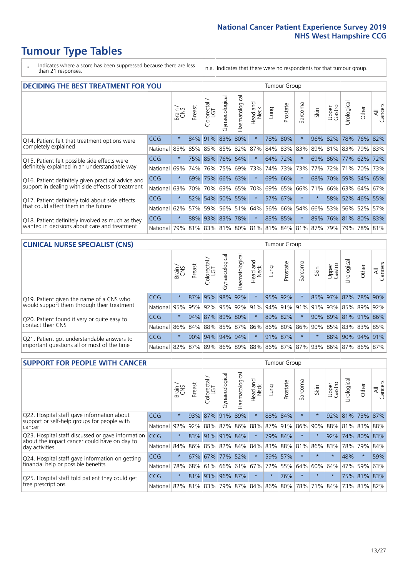\* Indicates where a score has been suppressed because there are less than 21 responses.

n.a. Indicates that there were no respondents for that tumour group.

| <b>DECIDING THE BEST TREATMENT FOR YOU</b>         |            |         |               |                       |                |                |                        |      | <b>Tumour Group</b> |                                 |         |                 |                 |             |                |
|----------------------------------------------------|------------|---------|---------------|-----------------------|----------------|----------------|------------------------|------|---------------------|---------------------------------|---------|-----------------|-----------------|-------------|----------------|
|                                                    |            | Brain   | <b>Breast</b> | olorectal<br>LGT<br>Ũ | Gynaecological | Haematological | ad and<br>Neck<br>Head | Lung | Prostate            | arcoma<br>vĀ                    | Skin    | Upper<br>Gastro | Jrological      | Other       | All<br>Cancers |
| Q14. Patient felt that treatment options were      | <b>CCG</b> | $\star$ |               | 84% 91%               | 83%            | 80%            | $\star$                |      | 78% 80%             | $\star$                         | 96%     | 82%             | 78%             | 76%         | 82%            |
| completely explained                               | National   | 85%     | 85%           | 85%                   |                | 85% 82%        | 87%                    |      | 84% 83% 83%         |                                 | 89%     |                 | 81% 83%         | 79% 83%     |                |
| Q15. Patient felt possible side effects were       | <b>CCG</b> | $\star$ |               | 75% 85%               | 76% 64%        |                | $\star$                |      | 64% 72%             |                                 | 69%     | 86%             | 77% 62% 72%     |             |                |
| definitely explained in an understandable way      | National   | 69%     | 74%           | 76%                   |                | 75% 69%        | 73%                    |      | 74% 73%             | 73%                             | 77%     | 72%             | 71%             | 70%         | 73%            |
| Q16. Patient definitely given practical advice and | <b>CCG</b> | $\star$ | 69%           | 75% 66% 63%           |                |                | $\star$                |      | 69% 66%             | $\ast$                          | 68%     | 70%             |                 | 59% 54% 65% |                |
| support in dealing with side effects of treatment  | National   | 63%     | 70%           | 70%                   |                | 69% 65%        | 70%                    |      | 69% 65%             | 66%                             | 71%     | 66%             | 63% 64%         |             | 67%            |
| Q17. Patient definitely told about side effects    | <b>CCG</b> | $\star$ |               | 52% 54% 50% 55%       |                |                | $\star$                |      | 57% 67%             | $\star$                         | $\star$ |                 | 58% 52% 46% 55% |             |                |
| that could affect them in the future               | National   | 62%     | 57%           | 59%                   |                | 56% 51%        | 64%                    |      | 56% 66%             | 54%                             | 66%     | 53%             |                 | 56% 52%     | 57%            |
| Q18. Patient definitely involved as much as they   | <b>CCG</b> | $\star$ |               | 88% 93% 83% 78%       |                |                | $\star$                |      | 83% 85%             | $\star$                         | 89%     | 76% 81% 80% 83% |                 |             |                |
| wanted in decisions about care and treatment       | National   | 79%     |               |                       |                |                |                        |      |                     | 81% 83% 81% 80% 81% 81% 84% 81% | 87%     | 79%             |                 | 79% 78% 81% |                |

#### **CLINICAL NURSE SPECIALIST (CNS)** Tumour Group

|                                             |            | Brain    | <b>Breast</b>   | olorectal<br>LGT<br>U | $\sigma$<br>aecologic<br>Š | ক<br>aematologic<br>工 | Head and<br>Neck | Lung    | Prostate | Sarcoma | Skin | Upper<br>Gastro | σ<br>rologica | Other                                               | All<br>ancers<br>$\cup$ |
|---------------------------------------------|------------|----------|-----------------|-----------------------|----------------------------|-----------------------|------------------|---------|----------|---------|------|-----------------|---------------|-----------------------------------------------------|-------------------------|
| Q19. Patient given the name of a CNS who    | <b>CCG</b> | $^\star$ |                 | 87% 95%               | 98%                        | 92%                   | $\star$          | 95% 92% |          |         |      | 85% 97%         |               | 82% 78% 90%                                         |                         |
| would support them through their treatment  | National   | 95%      |                 | 95% 92%               | 95%                        |                       |                  |         |          |         |      |                 |               | 92% 91% 94% 91% 91% 91% 93% 85% 89%                 | 92%                     |
| Q20. Patient found it very or quite easy to | <b>CCG</b> | $\star$  |                 | 94% 87% 89% 80%       |                            |                       | $\star$          |         | 89% 82%  | $\ast$  |      |                 |               | 90% 89% 81% 91% 86%                                 |                         |
| contact their CNS                           | National   |          |                 |                       |                            |                       |                  |         |          |         |      |                 |               | 86% 84% 88% 85% 87% 86% 86% 80% 86% 90% 85% 83% 83% | 85%                     |
| Q21. Patient got understandable answers to  | CCG        | $\star$  | 90%             | 94%                   | 94%                        | 94%                   | $\star$          |         | 91% 87%  | $\star$ |      | 88%             | 90% 94%       |                                                     | 91%                     |
| important questions all or most of the time | National I |          | 82%   87%   89% |                       | 86%                        |                       |                  |         |          |         |      |                 |               | 89% 88% 86% 87% 87% 93% 86% 87% 86%                 | 87%                     |

| <b>SUPPORT FOR PEOPLE WITH CANCER</b>                                                             |            |         |               |            |                |                |                        |             | Tumour Group |                  |         |                 |            |             |                |
|---------------------------------------------------------------------------------------------------|------------|---------|---------------|------------|----------------|----------------|------------------------|-------------|--------------|------------------|---------|-----------------|------------|-------------|----------------|
|                                                                                                   |            | Brain   | <b>Breast</b> | Colorectal | Gynaecological | Haematological | ad and<br>Neck<br>Head | <b>Dung</b> | Prostate     | arcoma<br>$\sim$ | Skin    | Upper<br>Gastro | Jrological | Other       | All<br>Cancers |
| Q22. Hospital staff gave information about<br>support or self-help groups for people with         | <b>CCG</b> | $\star$ | 93%           | 87%        | 91%            | 89%            | $\star$                | 88%         | 84%          | $\star$          |         | 92%             |            | 81% 73% 87% |                |
| cancer                                                                                            | National   | 92%     | 92%           | 88%        | 87%            | 86%            | 88%                    |             | 87% 91%      | 86%              | 90%     | 88%             | 81%        | 83%         | 88%            |
| Q23. Hospital staff discussed or gave information<br>about the impact cancer could have on day to | CCG        | $\star$ |               | 83% 91%    | 91%            | 84%            | $\star$                | 79%         | 84%          | $\star$          |         | 92%             | 74%        | 80%         | 83%            |
| day activities                                                                                    | National   | 84%     |               | 86% 85%    | 82%            | 84%            | 84%                    |             | 83% 88%      | 81%              | 86%     | 83%             | 78%        | 79%         | 84%            |
| Q24. Hospital staff gave information on getting                                                   | <b>CCG</b> | $\star$ |               | 67% 67%    | $77\%$         | 52%            | $\star$                |             | 59% 57%      | $\star$          | $\star$ | $\star$         | 48%        | $\star$     | 59%            |
| financial help or possible benefits                                                               | National   | 78%     |               | 68% 61%    |                | 66% 61%        | 67%                    |             | 72% 55%      | 64%              | 60%     | 64%             | 47%        | 59%         | 63%            |
| Q25. Hospital staff told patient they could get                                                   | <b>CCG</b> | $\star$ |               | 81% 93%    |                | 96% 87%        | $\star$                | $^\star$    | 76%          | $\star$          | $\star$ | $\star$         |            | 75% 81%     | 83%            |
| free prescriptions                                                                                | National   | 82%     |               | 81% 83%    | 79%            |                | 87% 84% 86% 80%        |             |              | 78%              | 71%     | 84%             |            | 73% 81%     | 82%            |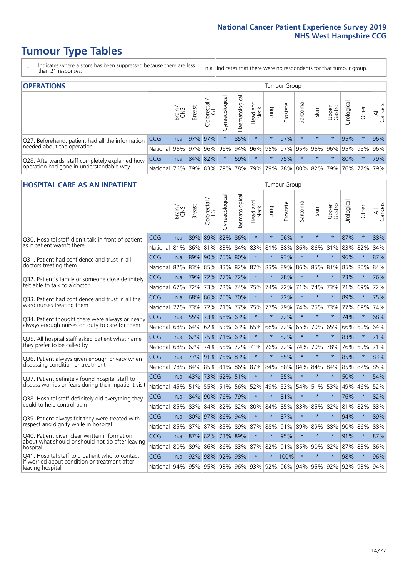- \* Indicates where a score has been suppressed because there are less than 21 responses.
- n.a. Indicates that there were no respondents for that tumour group.

| <b>OPERATIONS</b>                                |            |       |               |            |                |                |                  |         | Tumour Group            |         |         |                 |                       |         |                |
|--------------------------------------------------|------------|-------|---------------|------------|----------------|----------------|------------------|---------|-------------------------|---------|---------|-----------------|-----------------------|---------|----------------|
|                                                  |            | Brain | <b>Breast</b> | Colorectal | Gynaecological | Haematological | Head and<br>Neck | Lung    | Prostate                | Sarcoma | Skin    | Upper<br>Gastro | $\sigma$<br>Jrologica | Other   | All<br>Cancers |
| Q27. Beforehand, patient had all the information | <b>CCG</b> | n.a.  |               | 97% 97%    |                | 85%            | $\star$          | $\star$ | 97%                     |         | $\star$ | $\star$         | 95%                   | $\ast$  | 96%            |
| needed about the operation                       | National   | 96%   |               |            | 97% 96% 96%    |                |                  |         | 94% 96% 95% 97% 95% 96% |         |         | $96\%$          |                       | 95% 95% | 96%            |
| Q28. Afterwards, staff completely explained how  | <b>CCG</b> | n.a.  |               | 84% 82%    |                | 69%            | $\star$          | $\star$ | 75%                     |         | $\star$ | $\star$         | 80%                   | $\star$ | 79%            |
| operation had gone in understandable way         | National   | 76%   |               | 79% 83%    | 79%            |                | 78% 79%          |         | 79% 78% 80% 82%         |         |         | 79%             |                       | 76% 77% | 79%            |

#### **HOSPITAL CARE AS AN INPATIENT** Tumour Group

|                                                                                                   |            | Brain | Breast | Colorectal /<br>LGT | Gynaecological  | Haematological  | Head and<br>Neck | Lung    | Prostate | Sarcoma | Skin    | Upper<br>Gastro | Jrological                      | Other   | All<br>Cancers |
|---------------------------------------------------------------------------------------------------|------------|-------|--------|---------------------|-----------------|-----------------|------------------|---------|----------|---------|---------|-----------------|---------------------------------|---------|----------------|
| Q30. Hospital staff didn't talk in front of patient                                               | CCG        | n.a.  | 89%    | 89%                 | 82%             | 86%             | $\star$          | $\star$ | 96%      | $\star$ | $\star$ | $\star$         | 87%                             | $\star$ | 88%            |
| as if patient wasn't there                                                                        | National   | 81%   |        |                     |                 | 86% 81% 83% 84% | 83% 81%          |         | 88%      | 86%     | 86% 81% |                 | 83%                             | 82%     | 84%            |
| O31. Patient had confidence and trust in all<br>doctors treating them                             | CCG        | n.a.  |        |                     | 89% 90% 75% 80% |                 | $\star$          | $\star$ | 93%      | $\star$ | $\star$ | $\star$         | 96%                             | $\star$ | 87%            |
|                                                                                                   | National   | 82%   | 83%    | 85%                 | 83%             | 82%             | 87%              | 83%     | 89%      | 86%     | 85%     | 81%             | 85%                             | 80%     | 84%            |
| Q32. Patient's family or someone close definitely                                                 | CCG        | n.a.  |        |                     | 79% 72% 77% 72% |                 | $\star$          | $\star$ | 78%      | $\star$ | $\star$ | $\star$         | 73%                             | $\star$ | 76%            |
| felt able to talk to a doctor                                                                     | National   | 67%   | 72%    | 73%                 | 72%             | 74%             | 75%              | 74%     | 72%      | 71%     | 74%     | 73%             | 71%                             | 69%     | 72%            |
| Q33. Patient had confidence and trust in all the                                                  | CCG        | n.a.  |        | 68% 86%             | 75%             | 70%             | $\star$          | $\star$ | 72%      | $\star$ | $\star$ | $\star$         | 89%                             | $\star$ | 75%            |
| ward nurses treating them                                                                         | National   | 72%   | 73%    | 72%                 |                 | 71% 77%         | 75%              | 77%     | 79%      | 74%     | 75%     | 73%             | 77%                             | 69%     | 74%            |
| Q34. Patient thought there were always or nearly<br>always enough nurses on duty to care for them | <b>CCG</b> | n.a.  |        |                     | 55% 73% 68% 63% |                 | $\star$          | $\star$ | 72%      | $\star$ | $\star$ | $\star$         | 74%                             | $\star$ | 68%            |
|                                                                                                   | National   | 68%   |        | 64% 62%             |                 | 63% 63%         |                  | 65% 68% | 72%      | 65%     | 70% 65% |                 | 66%                             | 60%     | 64%            |
| Q35. All hospital staff asked patient what name                                                   | CCG        | n.a.  |        |                     | 62% 75% 71% 63% |                 | $\star$          | $\star$ | 82%      | $\star$ | $\star$ | $\star$         | 83%                             | $\star$ | 71%            |
| they prefer to be called by                                                                       | National   | 68%   | 62%    | 74%                 | 65%             | 72%             | 71%              | 76%     | 72%      | 74%     | 70%     | 78%             | 76%                             | 69%     | 71%            |
| Q36. Patient always given enough privacy when                                                     | <b>CCG</b> | n.a.  | 77%    |                     | 91% 75% 83%     |                 | $\star$          | $\star$ | 85%      | $\star$ | $\star$ |                 | 85%                             | $\star$ | 83%            |
| discussing condition or treatment                                                                 | National   | 78%   |        | 84% 85%             |                 | 81% 86%         |                  | 87% 84% | 88%      | 84%     | 84%     | 84%             | 85%                             | 82%     | 85%            |
| Q37. Patient definitely found hospital staff to                                                   | CCG        | n.a.  |        | 43% 73%             | 62% 51%         |                 | $\star$          | $\star$ | 55%      | $\star$ | $\star$ | $\star$         | 50%                             | $\star$ | 54%            |
| discuss worries or fears during their inpatient visit                                             | National   | 45%   |        | 51% 55%             |                 | 51% 56%         | 52%              | 49%     | 53%      | 54%     | 51%     | 53%             | 49%                             | 46%     | 52%            |
| Q38. Hospital staff definitely did everything they                                                | CCG        | n.a.  |        |                     | 84% 90% 76% 79% |                 | $\star$          | $\star$ | 81%      | $\star$ | $\star$ | $\star$         | 76%                             | $\star$ | 82%            |
| could to help control pain                                                                        | National   | 85%   |        |                     |                 | 83% 84% 82% 82% |                  | 80% 84% | 85%      | 83%     | 85% 82% |                 | 81%                             | 82%     | 83%            |
| Q39. Patient always felt they were treated with                                                   | CCG        | n.a.  |        |                     | 80% 97% 86% 94% |                 | $\star$          | $\star$ | 87%      | $\star$ | $\star$ | $\star$         | 94%                             | $\star$ | 89%            |
| respect and dignity while in hospital                                                             | National   | 85%   | 87%    | 87%                 | 85%             | 89%             | 87%              | 88%     | 91%      | 89%     | 89%     | 88%             | 90%                             | 86%     | 88%            |
| Q40. Patient given clear written information<br>about what should or should not do after leaving  | <b>CCG</b> | n.a.  |        | 87% 82%             | 73% 89%         |                 | $\star$          | $\star$ | 95%      | $\star$ | $\star$ | $\star$         | 91%                             | $\star$ | 87%            |
| hospital                                                                                          | National   | 80%   |        |                     |                 | 89% 86% 86% 83% |                  | 87% 82% |          | 91% 85% | $90\%$  | 82%             | 87%                             | 83%     | 86%            |
| Q41. Hospital staff told patient who to contact<br>if worried about condition or treatment after  | CCG        | n.a.  | 92%    |                     | 98% 92% 98%     |                 | $\ast$           | $\star$ | 100%     | $\star$ | $\star$ |                 | 98%                             | $\star$ | 96%            |
| leaving hospital                                                                                  | National   | 94%   |        |                     |                 | 95% 95% 93% 96% |                  |         |          |         |         |                 | 93% 92% 96% 94% 95% 92% 92% 93% |         | 94%            |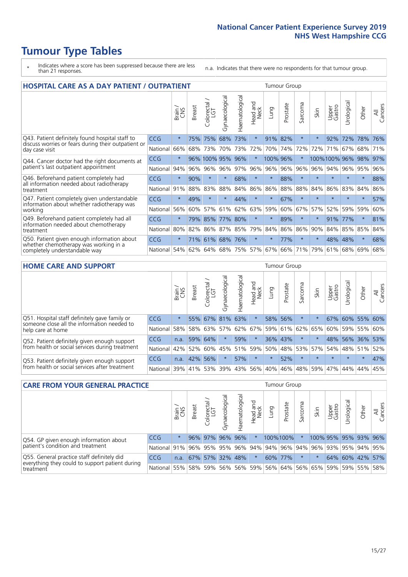- \* Indicates where a score has been suppressed because there are less than 21 responses.
- n.a. Indicates that there were no respondents for that tumour group.

| <b>HOSPITAL CARE AS A DAY PATIENT / OUTPATIENT</b>                                                                    | <b>Tumour Group</b> |         |               |                        |                |                |                         |          |          |                          |         |                 |            |         |                |
|-----------------------------------------------------------------------------------------------------------------------|---------------------|---------|---------------|------------------------|----------------|----------------|-------------------------|----------|----------|--------------------------|---------|-----------------|------------|---------|----------------|
|                                                                                                                       |                     | Brain   | <b>Breast</b> | ╮<br>Colorectal<br>LGT | Gynaecological | Haematological | ead and<br>Neck<br>Head | Lung     | Prostate | arcoma<br>$\overline{2}$ | Skin    | Upper<br>Gastro | Urological | Other   | All<br>Cancers |
| Q43. Patient definitely found hospital staff to                                                                       | CCG                 | $\star$ | 75%           | 75%                    | 68%            | 73%            | $\star$                 | 91%      | 82%      | $\star$                  |         | 92%             | 72%        | 78%     | 76%            |
| discuss worries or fears during their outpatient or<br>day case visit                                                 | National            | 66%     | 68%           | 73%                    | 70%            | 73%            | 72%                     | 70%      | 74%      | 72%                      | 72%     | 71%             | 67%        | 68%     | 71%            |
| Q44. Cancer doctor had the right documents at<br>patient's last outpatient appointment                                | CCG                 | $\star$ |               | 96% 100% 95%           |                | 96%            | $\star$                 | 100% 96% |          | $\ast$                   |         | 100%100% 96%    |            | 98%     | 97%            |
|                                                                                                                       | National            | 94%     | 96%           | 96%                    | 96%            | 97%            | 96%                     | $ 96\% $ | 96%      | 96%                      | 96%     | 94%             | $96\%$     | 95%     | 96%            |
| Q46. Beforehand patient completely had                                                                                | <b>CCG</b>          | $\star$ | 90%           | $\star$                | $\star$        | 68%            | $\star$                 | $\star$  | 88%      | $\star$                  | $\star$ | $\star$         | $\star$    | $\star$ | 88%            |
| all information needed about radiotherapy<br>treatment                                                                | National            | 91%     | 88%           | 83%                    | 88%            | 84%            | 86%                     | 86%      | 88%      | 88%                      | 84%     | 86%             | 83%        | 84%     | 86%            |
| Q47. Patient completely given understandable                                                                          | CCG                 | $\star$ | 49%           |                        |                | 44%            | $\star$                 | $\star$  | 67%      | $\star$                  |         | $\star$         | $\star$    | $\star$ | 57%            |
| information about whether radiotherapy was<br>working                                                                 | National            | 56%     | 60%           | 57%                    | 61%            | 62%            | 63%                     | 59%      | 60%      | 67%                      | 57%     | 52%             | 59%        | 59%     | 60%            |
| Q49. Beforehand patient completely had all                                                                            | CCG                 | $\star$ | 79%           | 85%                    | 77%            | 80%            | $\star$                 | $\star$  | 89%      | $\star$                  |         | 91%             | 77%        | $\ast$  | 81%            |
| information needed about chemotherapy<br>treatment                                                                    | National            | 80%     | 82%           | 86%                    | 87%            | 85%            | 79%                     | 84%      | 86%      | 86%                      | 90%     | 84%             | 85%        | 85%     | 84%            |
| Q50. Patient given enough information about<br>whether chemotherapy was working in a<br>completely understandable way | <b>CCG</b>          | $\star$ | 71%           | 61%                    | 68%            | 76%            | $\star$                 | $\star$  | 77%      | $\star$                  | $\star$ | 48%             | 48%        | $\star$ | 68%            |
|                                                                                                                       | National            | 54%     | 62%           | 64%                    | 68%            | 75%            | 57%                     | 67%      | 66%      | 71%                      | 79%     | 61%             | 68%        | 69%     | 68%            |

#### **HOME CARE AND SUPPORT** Tumour Group

|                                                                                                                   |                      | Brain<br>CNS | <b>Breast</b> | Colorectal | $\overline{\sigma}$<br>Gynaecologic | Haematological | Head and<br>Neck | <b>Dung</b> | Prostate | Sarcoma | Skin                                    | Upper<br>Gastro | rological | Other           | All<br>Cancers |
|-------------------------------------------------------------------------------------------------------------------|----------------------|--------------|---------------|------------|-------------------------------------|----------------|------------------|-------------|----------|---------|-----------------------------------------|-----------------|-----------|-----------------|----------------|
| Q51. Hospital staff definitely gave family or<br>someone close all the information needed to<br>help care at home | <b>CCG</b>           | $\star$      |               |            | 55% 67% 81% 63%                     |                | $\star$          | 58%         | 56%      |         |                                         | 67%             |           | 60% 55% 60%     |                |
|                                                                                                                   | National             | 58%          |               | 58% 63%    |                                     | $57\%$ 62% 67% |                  |             |          |         | 59% 61% 62% 65%                         |                 |           | 60% 59% 55% 60% |                |
| Q52. Patient definitely given enough support<br>from health or social services during treatment                   | <b>CCG</b>           | n.a.         | 59% 64%       |            | $\star$                             | 59%            | $\star$          |             | 36% 43%  | $\star$ |                                         | 48%             |           | 56% 36% 53%     |                |
|                                                                                                                   | National             |              | 42% 52% 60%   |            |                                     |                |                  |             |          |         | 45%   51%   59%   50%   48%   53%   57% |                 |           | 54% 48% 51%     | 52%            |
| Q53. Patient definitely given enough support<br>from health or social services after treatment                    | <b>CCG</b>           | n.a.         |               | 42% 56%    | $\star$                             | 57%            | $\star$          | $\star$     | 52%      | $\star$ | $\star$                                 | $\star$         | $\star$   | $\star$         | 47%            |
|                                                                                                                   | National 39% 41% 53% |              |               |            | 39%                                 | $ 43\% $       |                  | 56% 40%     | 46%      |         | 48% 59%                                 | 47%             | 44%       | 44%             | 45%            |

| <b>CARE FROM YOUR GENERAL PRACTICE</b>                                                                     |                                                                  |         |               |                   |               |                | <b>Tumour Group</b> |      |          |         |                                                     |                 |                       |                 |                |
|------------------------------------------------------------------------------------------------------------|------------------------------------------------------------------|---------|---------------|-------------------|---------------|----------------|---------------------|------|----------|---------|-----------------------------------------------------|-----------------|-----------------------|-----------------|----------------|
|                                                                                                            |                                                                  | Brain,  | <b>Breast</b> | Colorectal<br>LGT | Gynaecologica | Haematological | Head and<br>Neck    | Lung | Prostate | Sarcoma | Skin                                                | Upper<br>Gastro | $\sigma$<br>Urologica | Other           | All<br>Cancers |
| Q54. GP given enough information about<br>patient's condition and treatment                                | CCG                                                              | $\star$ |               | 96% 97% 96% 96%   |               |                | $\star$             |      | 100%100% |         | 100% 95% 95% 93% 96%                                |                 |                       |                 |                |
|                                                                                                            | National 91% 96% 95% 95% 96% 94% 94% 96% 94% 96% 93% 95% 94% 95% |         |               |                   |               |                |                     |      |          |         |                                                     |                 |                       |                 |                |
| Q55. General practice staff definitely did<br>everything they could to support patient during<br>treatment | <b>CCG</b>                                                       | n.a.    |               | 67% 57% 32% 48%   |               |                | $\star$             |      | 60% 77%  |         |                                                     |                 |                       | 64% 60% 42% 57% |                |
|                                                                                                            | National 55%                                                     |         |               |                   |               |                |                     |      |          |         | 58% 59% 56% 56% 59% 56% 64% 56% 65% 59% 59% 55% 58% |                 |                       |                 |                |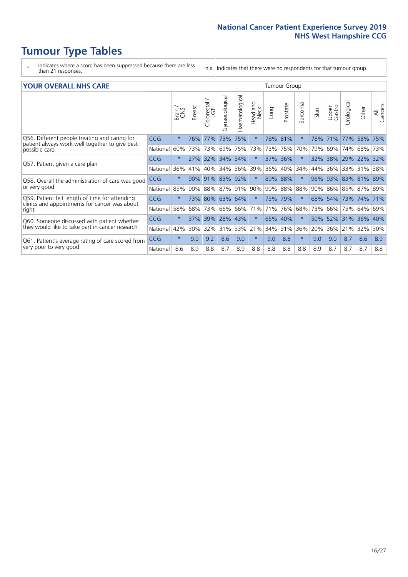- \* Indicates where a score has been suppressed because there are less than 21 responses.
- n.a. Indicates that there were no respondents for that tumour group.

#### **YOUR OVERALL NHS CARE** THE TWO CONTROLLER THE THE THROUP CHANGE THE TUMOUR GROUP

|            | Brain   | <b>Breast</b> | Colorectal | Gynaecological | Haematological | aad and<br>Neck<br>Head                      | Lung | Prostate | Sarcoma                                                                                             | Skin | Upper<br>Gastro | Urological | Other                        | All<br>Cancers                        |
|------------|---------|---------------|------------|----------------|----------------|----------------------------------------------|------|----------|-----------------------------------------------------------------------------------------------------|------|-----------------|------------|------------------------------|---------------------------------------|
| <b>CCG</b> | $\star$ | 76%           | 77%        | 73%            | 75%            | $\star$                                      |      |          | $\star$                                                                                             | 78%  | 71%             | 77%        | 58%                          | 75%                                   |
| National   | 60%     |               |            | 69%            | 75%            | 73%                                          |      |          | 70%                                                                                                 |      | 69%             | 74%        | 68%                          | 73%                                   |
| <b>CCG</b> | $\star$ |               |            |                |                | $\star$                                      |      |          | $\ast$                                                                                              | 32%  |                 |            |                              | 32%                                   |
| National   | 36%     | 41%           | 40%        | 34%            | 36%            | 39%                                          | 36%  |          | 34%                                                                                                 | 44%  | 36%             | 33%        | 31%                          | 38%                                   |
| <b>CCG</b> | $\star$ | 90%           |            |                |                | $\star$                                      | 89%  |          | $\star$                                                                                             | 96%  |                 |            |                              | 89%                                   |
| National   | 85%     | 90%           |            | 87%            |                | 90%                                          |      |          | 88%                                                                                                 | 90%  | 86%             |            |                              |                                       |
| <b>CCG</b> | $\star$ |               |            |                |                | $\star$                                      |      |          | $\star$                                                                                             |      | 54%             |            |                              | 71%                                   |
| National   | 58%     | 68%           | 73%        | 66%            | 66%            | 71%                                          | 71%  |          | 68%                                                                                                 | 73%  | 66%             | 75%        | 64%                          | 69%                                   |
| CCG        | $\star$ | 37%           | 39%        | 28%            | 43%            | $\star$                                      | 65%  |          | $\star$                                                                                             | 50%  | 52%             |            | 36%                          | 40%                                   |
| National   | 42%     | 30%           | 32%        | 31%            | 33%            | 21%                                          |      |          | 36%                                                                                                 | 20%  | 36%             | 21%        | 32%                          | 30%                                   |
| <b>CCG</b> | $\star$ | 9.0           | 9.2        | 8.6            | 9.0            | $\star$                                      | 9.0  | 8.8      | $\star$                                                                                             | 9.0  | 9.0             | 8.7        | 8.6                          | 8.9                                   |
| National   | 8.6     | 8.9           | 8.8        | 8.7            | 8.9            | 8.8                                          | 8.8  | 8.8      | 8.8                                                                                                 | 8.9  | 8.7             | 8.7        | 8.7                          | 8.8                                   |
|            |         |               |            | 73% 73%<br>91% | 27% 32%<br>88% | 34% 34%<br>83% 92%<br>91%<br>73% 80% 63% 64% |      |          | 78%<br>81%<br>73% 75%<br>37% 36%<br>40%<br>88%<br>$90\%$<br>88%<br>73% 79%<br>76%<br>40%<br>34% 31% |      |                 | 79%<br>68% | 93% 83%<br>85%<br>73%<br>31% | 38% 29% 22%<br>81%<br>87% 89%<br>174% |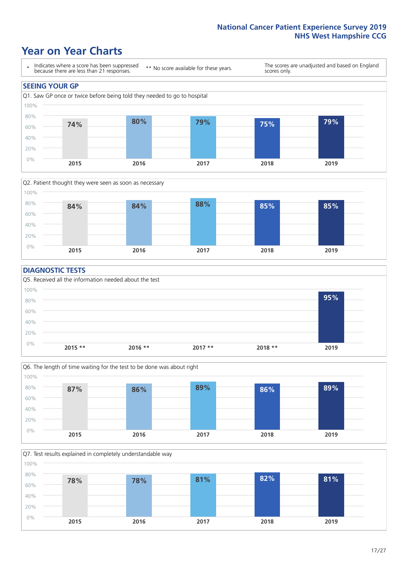### **Year on Year Charts**





#### **DIAGNOSTIC TESTS**





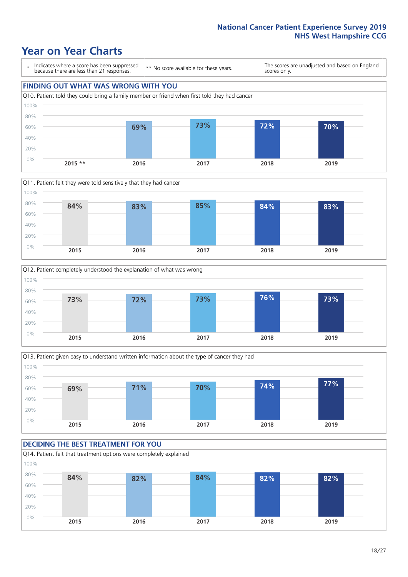### **Year on Year Charts**

0%

\* Indicates where a score has been suppressed because there are less than 21 responses. \*\* No score available for these years. The scores are unadjusted and based on England scores only. **FINDING OUT WHAT WAS WRONG WITH YOU** Q10. Patient told they could bring a family member or friend when first told they had cancer 20% 40% 60% 80% 100% **69% 73% 72% 70%**







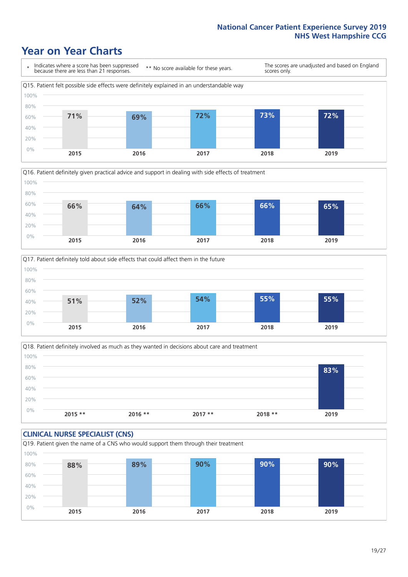### **Year on Year Charts**







Q18. Patient definitely involved as much as they wanted in decisions about care and treatment  $0%$ 20% 40% 60% 80% 100% **2015 \*\* 2016 \*\* 2017 \*\* 2018 \*\* 2019 83%**

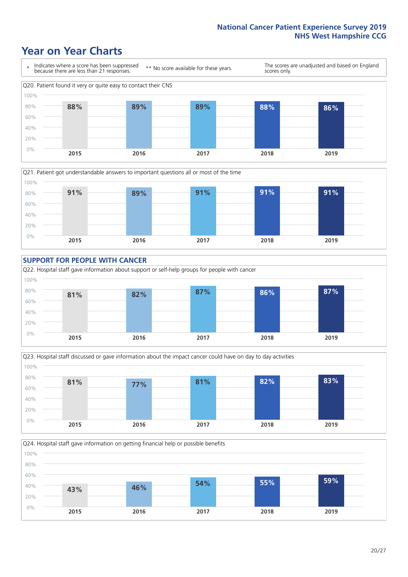### **Year on Year Charts**











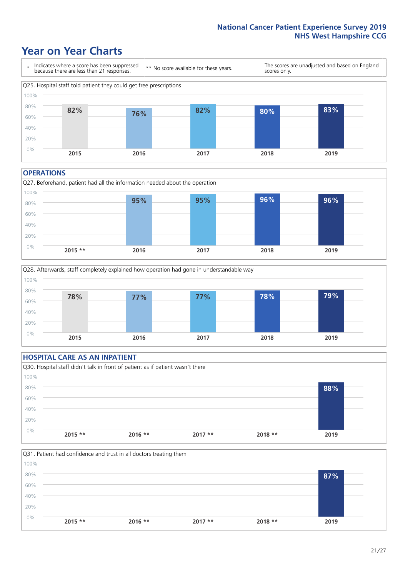### **Year on Year Charts**



#### **OPERATIONS**





#### **HOSPITAL CARE AS AN INPATIENT** Q30. Hospital staff didn't talk in front of patient as if patient wasn't there 0% 20% 40% 60% 80% 100% **2015 \*\* 2016 \*\* 2017 \*\* 2018 \*\* 2019 88%**

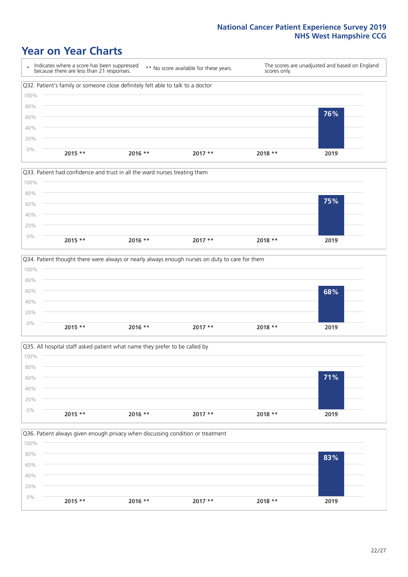### **Year on Year Charts**









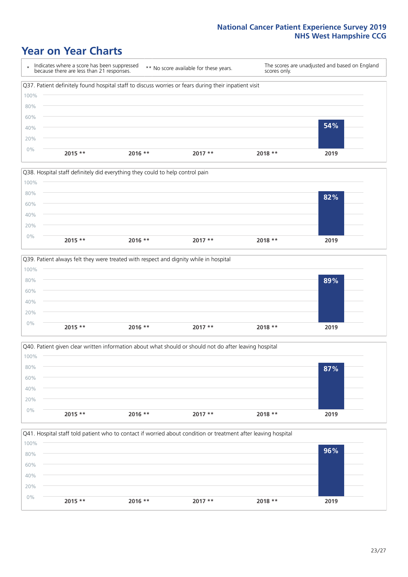### **Year on Year Charts**









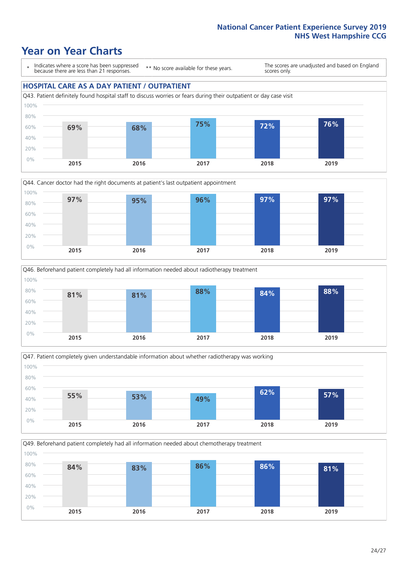### **Year on Year Charts**

\* Indicates where a score has been suppressed because there are less than 21 responses.

\*\* No score available for these years.

The scores are unadjusted and based on England scores only.

#### **HOSPITAL CARE AS A DAY PATIENT / OUTPATIENT**









Q49. Beforehand patient completely had all information needed about chemotherapy treatment 100%

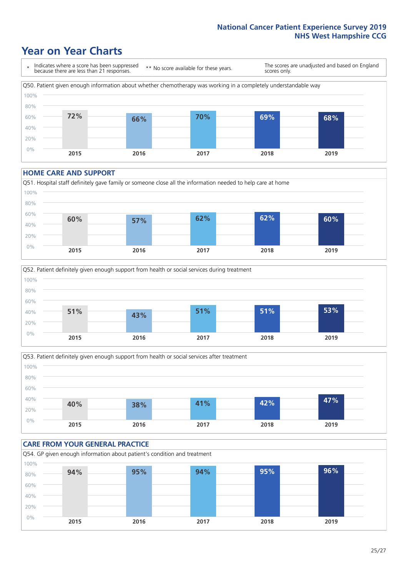### **Year on Year Charts**



#### **HOME CARE AND SUPPORT**







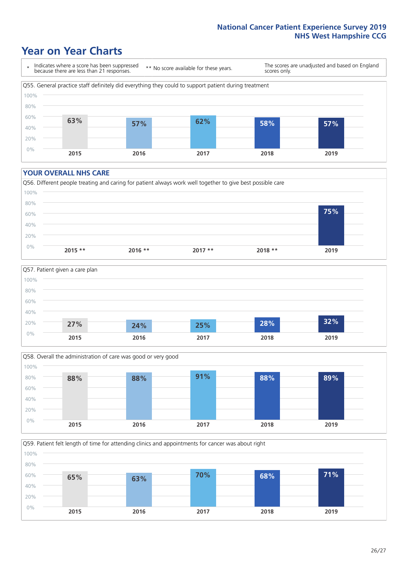### **Year on Year Charts**

\* Indicates where a score has been suppressed because there are less than 21 responses.

\*\* No score available for these years.

The scores are unadjusted and based on England scores only.



#### **YOUR OVERALL NHS CARE**







Q59. Patient felt length of time for attending clinics and appointments for cancer was about right